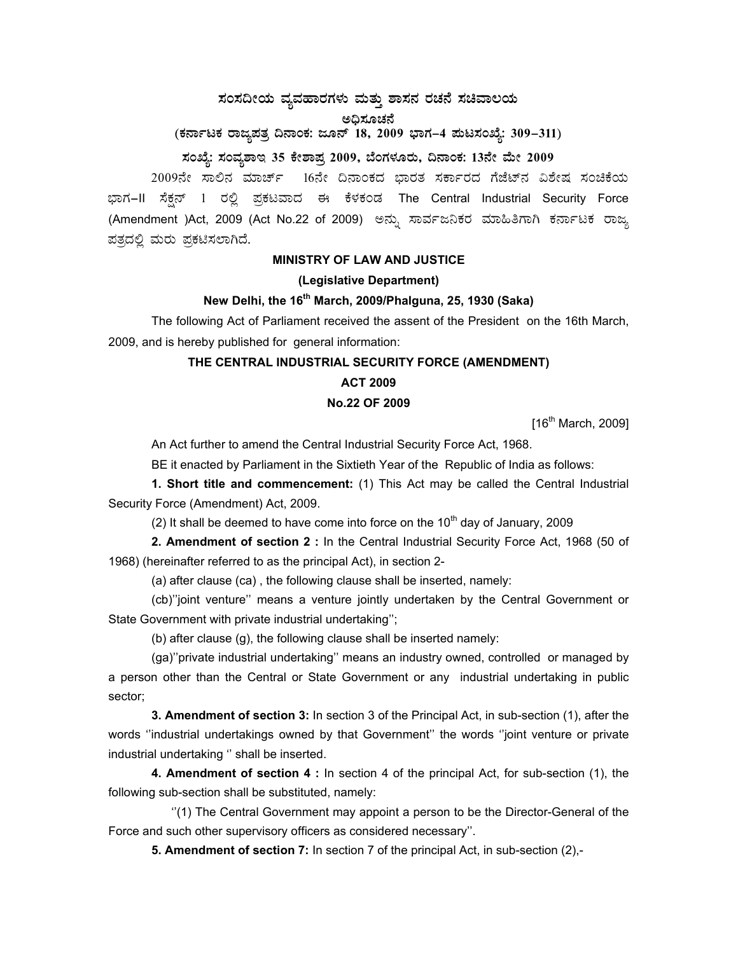# **¸ÀA¸À¢ÃAiÀÄ ªÀåªÀºÁgÀUÀ¼ÀÄ ªÀÄvÀÄÛ ±Á¸À£À gÀZÀ£É ¸ÀaªÁ®AiÀÄ**

ಅಧಿಸೂಚನೆ

(ಕರ್ನಾಟಕ ರಾಜ್ಯಪತ್ರ ದಿನಾಂಕ: ಜೂನ್ 18, 2009 ಭಾಗ–4 **ಮಟಸಂಖ್ಯೆ: 309–311**)

# ಸಂಖ್ಯೆ: ಸಂವ್ಯಶಾಇ 35 ಕೇಶಾಪ್ರ 2009, ಬೆಂಗಳೂರು, ದಿನಾಂಕ: 13ನೇ ಮೇ 2009

2009ನೇ ಸಾಲಿನ ಮಾರ್ಚ್ 16ನೇ ದಿನಾಂಕದ ಭಾರತ ಸರ್ಕಾರದ ಗೆಜೆಟ್ ವಿಶೇಷ ಸಂಚಿಕೆಯ ಭಾಗ–II ಸೆಕ್ಷನ್ 1 ರಲ್ಲಿ ಪ್ರಕಟವಾದ ಈ ಕೆಳಕಂಡ The Central Industrial Security Force (Amendment )Act, 2009 (Act No.22 of 2009) ಅನ್ನು ಸಾರ್ವಜನಿಕರ ಮಾಹಿತಿಗಾಗಿ ಕರ್ನಾಟಕ ರಾಜ್ಯ ಪತ್ರದಲ್ಲಿ ಮರು ಪ್ರಕಟಿಸಲಾಗಿದೆ.

#### **MINISTRY OF LAW AND JUSTICE**

#### **(Legislative Department)**

### **New Delhi, the 16th March, 2009/Phalguna, 25, 1930 (Saka)**

 The following Act of Parliament received the assent of the President on the 16th March, 2009, and is hereby published for general information:

# **THE CENTRAL INDUSTRIAL SECURITY FORCE (AMENDMENT)**

## **ACT 2009**

#### **No.22 OF 2009**

 $[16^{th}$  March, 2009]

An Act further to amend the Central Industrial Security Force Act, 1968.

BE it enacted by Parliament in the Sixtieth Year of the Republic of India as follows:

**1. Short title and commencement:** (1) This Act may be called the Central Industrial Security Force (Amendment) Act, 2009.

(2) It shall be deemed to have come into force on the 10<sup>th</sup> day of January, 2009

**2. Amendment of section 2 :** In the Central Industrial Security Force Act, 1968 (50 of 1968) (hereinafter referred to as the principal Act), in section 2-

(a) after clause (ca) , the following clause shall be inserted, namely:

 (cb)''joint venture'' means a venture jointly undertaken by the Central Government or State Government with private industrial undertaking'';

(b) after clause (g), the following clause shall be inserted namely:

 (ga)''private industrial undertaking'' means an industry owned, controlled or managed by a person other than the Central or State Government or any industrial undertaking in public sector;

**3. Amendment of section 3:** In section 3 of the Principal Act, in sub-section (1), after the words ''industrial undertakings owned by that Government'' the words ''joint venture or private industrial undertaking '' shall be inserted.

**4. Amendment of section 4 :** In section 4 of the principal Act, for sub-section (1), the following sub-section shall be substituted, namely:

 ''(1) The Central Government may appoint a person to be the Director-General of the Force and such other supervisory officers as considered necessary''.

**5. Amendment of section 7:** In section 7 of the principal Act, in sub-section (2),-